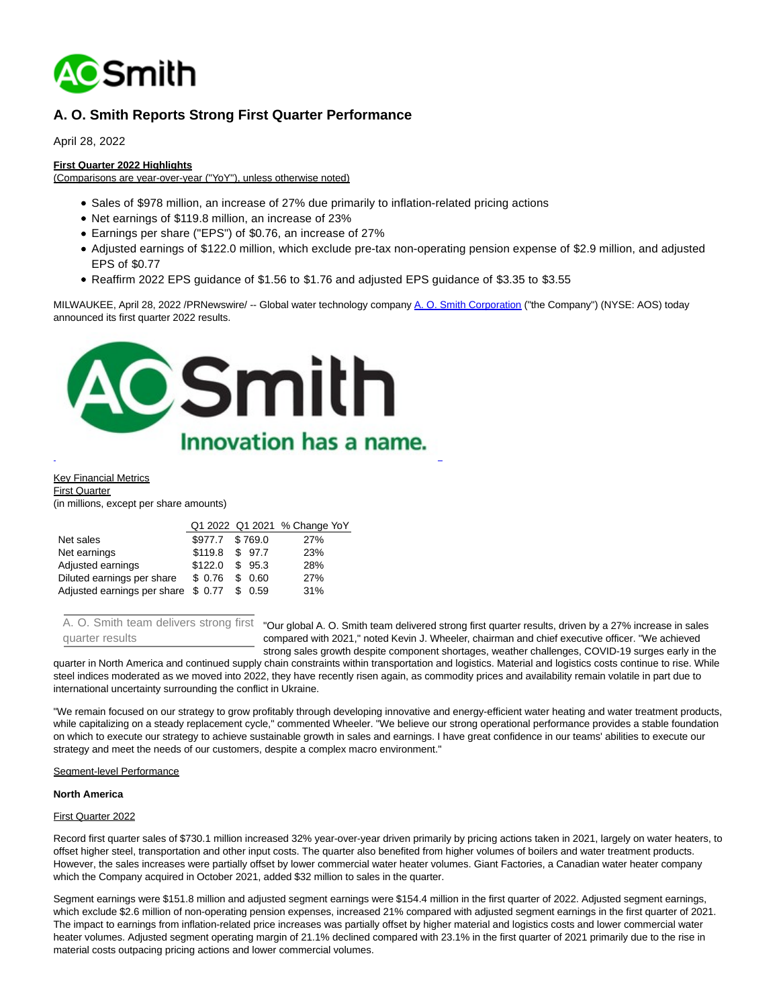

# **A. O. Smith Reports Strong First Quarter Performance**

April 28, 2022

#### **First Quarter 2022 Highlights**

(Comparisons are year-over-year ("YoY"), unless otherwise noted)

- Sales of \$978 million, an increase of 27% due primarily to inflation-related pricing actions
- Net earnings of \$119.8 million, an increase of 23%
- Earnings per share ("EPS") of \$0.76, an increase of 27%
- Adjusted earnings of \$122.0 million, which exclude pre-tax non-operating pension expense of \$2.9 million, and adjusted EPS of \$0.77
- Reaffirm 2022 EPS guidance of \$1.56 to \$1.76 and adjusted EPS guidance of \$3.35 to \$3.55

MILWAUKEE, April 28, 2022 /PRNewswire/ -- Global water technology company [A. O. Smith Corporation \(](https://c212.net/c/link/?t=0&l=en&o=3518933-1&h=1728059196&u=https%3A%2F%2Fwww.aosmith.com%2F&a=A.+O.+Smith+Corporation)"the Company") (NYSE: AOS) today announced its first quarter 2022 results.



Key Financial Metrics First Quarter

(in millions, except per share amounts)

| Q1 2022 Q1 2021 % Change YoY |
|------------------------------|
|                              |
|                              |
|                              |
|                              |
|                              |
|                              |

A. O. Smith team delivers strong first quarter results

"Our global A. O. Smith team delivered strong first quarter results, driven by a 27% increase in sales compared with 2021," noted Kevin J. Wheeler, chairman and chief executive officer. "We achieved strong sales growth despite component shortages, weather challenges, COVID-19 surges early in the

quarter in North America and continued supply chain constraints within transportation and logistics. Material and logistics costs continue to rise. While steel indices moderated as we moved into 2022, they have recently risen again, as commodity prices and availability remain volatile in part due to international uncertainty surrounding the conflict in Ukraine.

"We remain focused on our strategy to grow profitably through developing innovative and energy-efficient water heating and water treatment products, while capitalizing on a steady replacement cycle," commented Wheeler. "We believe our strong operational performance provides a stable foundation on which to execute our strategy to achieve sustainable growth in sales and earnings. I have great confidence in our teams' abilities to execute our strategy and meet the needs of our customers, despite a complex macro environment."

#### Segment-level Performance

#### **North America**

## First Quarter 2022

Record first quarter sales of \$730.1 million increased 32% year-over-year driven primarily by pricing actions taken in 2021, largely on water heaters, to offset higher steel, transportation and other input costs. The quarter also benefited from higher volumes of boilers and water treatment products. However, the sales increases were partially offset by lower commercial water heater volumes. Giant Factories, a Canadian water heater company which the Company acquired in October 2021, added \$32 million to sales in the quarter.

Segment earnings were \$151.8 million and adjusted segment earnings were \$154.4 million in the first quarter of 2022. Adjusted segment earnings, which exclude \$2.6 million of non-operating pension expenses, increased 21% compared with adjusted segment earnings in the first quarter of 2021. The impact to earnings from inflation-related price increases was partially offset by higher material and logistics costs and lower commercial water heater volumes. Adjusted segment operating margin of 21.1% declined compared with 23.1% in the first quarter of 2021 primarily due to the rise in material costs outpacing pricing actions and lower commercial volumes.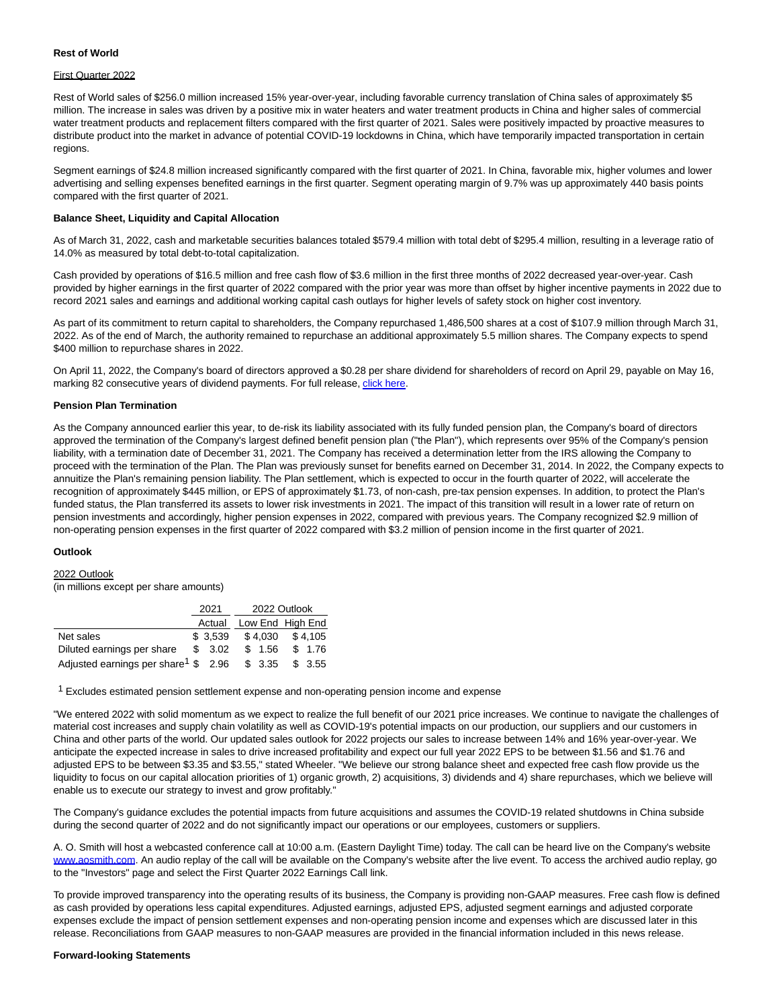#### **Rest of World**

#### First Quarter 2022

Rest of World sales of \$256.0 million increased 15% year-over-year, including favorable currency translation of China sales of approximately \$5 million. The increase in sales was driven by a positive mix in water heaters and water treatment products in China and higher sales of commercial water treatment products and replacement filters compared with the first quarter of 2021. Sales were positively impacted by proactive measures to distribute product into the market in advance of potential COVID-19 lockdowns in China, which have temporarily impacted transportation in certain regions.

Segment earnings of \$24.8 million increased significantly compared with the first quarter of 2021. In China, favorable mix, higher volumes and lower advertising and selling expenses benefited earnings in the first quarter. Segment operating margin of 9.7% was up approximately 440 basis points compared with the first quarter of 2021.

#### **Balance Sheet, Liquidity and Capital Allocation**

As of March 31, 2022, cash and marketable securities balances totaled \$579.4 million with total debt of \$295.4 million, resulting in a leverage ratio of 14.0% as measured by total debt-to-total capitalization.

Cash provided by operations of \$16.5 million and free cash flow of \$3.6 million in the first three months of 2022 decreased year-over-year. Cash provided by higher earnings in the first quarter of 2022 compared with the prior year was more than offset by higher incentive payments in 2022 due to record 2021 sales and earnings and additional working capital cash outlays for higher levels of safety stock on higher cost inventory.

As part of its commitment to return capital to shareholders, the Company repurchased 1,486,500 shares at a cost of \$107.9 million through March 31, 2022. As of the end of March, the authority remained to repurchase an additional approximately 5.5 million shares. The Company expects to spend \$400 million to repurchase shares in 2022.

On April 11, 2022, the Company's board of directors approved a \$0.28 per share dividend for shareholders of record on April 29, payable on May 16, marking 82 consecutive years of dividend payments. For full release[, click here.](https://c212.net/c/link/?t=0&l=en&o=3518933-1&h=356660948&u=https%3A%2F%2Fwww.aosmith.com%2FNews%2F2022-News%2F2022-04-11-Q1-Dividend%2F&a=click+here)

#### **Pension Plan Termination**

As the Company announced earlier this year, to de-risk its liability associated with its fully funded pension plan, the Company's board of directors approved the termination of the Company's largest defined benefit pension plan ("the Plan"), which represents over 95% of the Company's pension liability, with a termination date of December 31, 2021. The Company has received a determination letter from the IRS allowing the Company to proceed with the termination of the Plan. The Plan was previously sunset for benefits earned on December 31, 2014. In 2022, the Company expects to annuitize the Plan's remaining pension liability. The Plan settlement, which is expected to occur in the fourth quarter of 2022, will accelerate the recognition of approximately \$445 million, or EPS of approximately \$1.73, of non-cash, pre-tax pension expenses. In addition, to protect the Plan's funded status, the Plan transferred its assets to lower risk investments in 2021. The impact of this transition will result in a lower rate of return on pension investments and accordingly, higher pension expenses in 2022, compared with previous years. The Company recognized \$2.9 million of non-operating pension expenses in the first quarter of 2022 compared with \$3.2 million of pension income in the first quarter of 2021.

#### **Outlook**

#### 2022 Outlook

(in millions except per share amounts)

|                                                          | 2021                    | 2022 Outlook |         |  |         |
|----------------------------------------------------------|-------------------------|--------------|---------|--|---------|
|                                                          | Actual Low End High End |              |         |  |         |
| Net sales                                                | \$3.539                 |              | \$4.030 |  | \$4.105 |
| Diluted earnings per share                               | \$3.02                  |              | \$ 1.56 |  | \$ 1.76 |
| Adjusted earnings per share <sup>1</sup> $$2.96$ $$3.35$ |                         |              |         |  | \$3.55  |

 $1$  Excludes estimated pension settlement expense and non-operating pension income and expense

"We entered 2022 with solid momentum as we expect to realize the full benefit of our 2021 price increases. We continue to navigate the challenges of material cost increases and supply chain volatility as well as COVID-19's potential impacts on our production, our suppliers and our customers in China and other parts of the world. Our updated sales outlook for 2022 projects our sales to increase between 14% and 16% year-over-year. We anticipate the expected increase in sales to drive increased profitability and expect our full year 2022 EPS to be between \$1.56 and \$1.76 and adjusted EPS to be between \$3.35 and \$3.55," stated Wheeler. "We believe our strong balance sheet and expected free cash flow provide us the liquidity to focus on our capital allocation priorities of 1) organic growth, 2) acquisitions, 3) dividends and 4) share repurchases, which we believe will enable us to execute our strategy to invest and grow profitably."

The Company's guidance excludes the potential impacts from future acquisitions and assumes the COVID-19 related shutdowns in China subside during the second quarter of 2022 and do not significantly impact our operations or our employees, customers or suppliers.

A. O. Smith will host a webcasted conference call at 10:00 a.m. (Eastern Daylight Time) today. The call can be heard live on the Company's website [www.aosmith.com.](https://c212.net/c/link/?t=0&l=en&o=3518933-1&h=2784813194&u=http%3A%2F%2Fwww.aosmith.com%2F&a=www.aosmith.com) An audio replay of the call will be available on the Company's website after the live event. To access the archived audio replay, go to the "Investors" page and select the First Quarter 2022 Earnings Call link.

To provide improved transparency into the operating results of its business, the Company is providing non-GAAP measures. Free cash flow is defined as cash provided by operations less capital expenditures. Adjusted earnings, adjusted EPS, adjusted segment earnings and adjusted corporate expenses exclude the impact of pension settlement expenses and non-operating pension income and expenses which are discussed later in this release. Reconciliations from GAAP measures to non-GAAP measures are provided in the financial information included in this news release.

#### **Forward-looking Statements**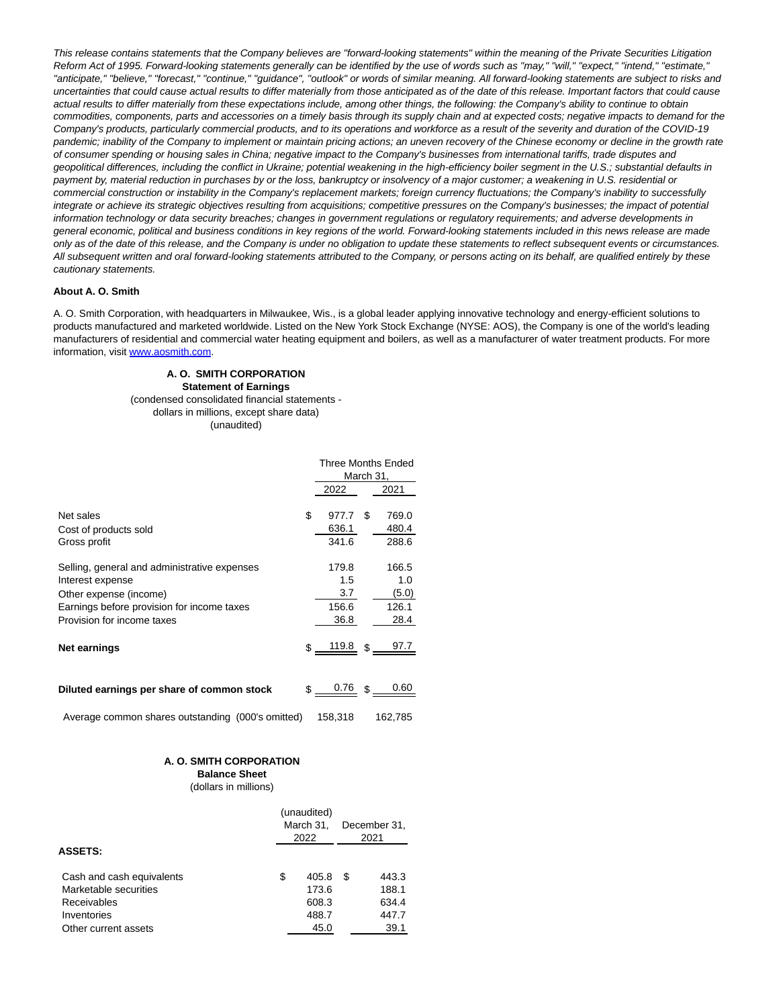This release contains statements that the Company believes are "forward-looking statements" within the meaning of the Private Securities Litigation Reform Act of 1995. Forward-looking statements generally can be identified by the use of words such as "may," "will," "expect," "intend," "estimate," "anticipate," "believe," "forecast," "continue," "guidance", "outlook" or words of similar meaning. All forward-looking statements are subject to risks and uncertainties that could cause actual results to differ materially from those anticipated as of the date of this release. Important factors that could cause actual results to differ materially from these expectations include, among other things, the following: the Company's ability to continue to obtain commodities, components, parts and accessories on a timely basis through its supply chain and at expected costs; negative impacts to demand for the Company's products, particularly commercial products, and to its operations and workforce as a result of the severity and duration of the COVID-19 pandemic; inability of the Company to implement or maintain pricing actions; an uneven recovery of the Chinese economy or decline in the growth rate of consumer spending or housing sales in China; negative impact to the Company's businesses from international tariffs, trade disputes and geopolitical differences, including the conflict in Ukraine; potential weakening in the high-efficiency boiler segment in the U.S.; substantial defaults in payment by, material reduction in purchases by or the loss, bankruptcy or insolvency of a major customer; a weakening in U.S. residential or commercial construction or instability in the Company's replacement markets; foreign currency fluctuations; the Company's inability to successfully integrate or achieve its strategic objectives resulting from acquisitions; competitive pressures on the Company's businesses; the impact of potential information technology or data security breaches; changes in government regulations or regulatory requirements; and adverse developments in general economic, political and business conditions in key regions of the world. Forward-looking statements included in this news release are made only as of the date of this release, and the Company is under no obligation to update these statements to reflect subsequent events or circumstances. All subsequent written and oral forward-looking statements attributed to the Company, or persons acting on its behalf, are qualified entirely by these cautionary statements.

#### **About A. O. Smith**

A. O. Smith Corporation, with headquarters in Milwaukee, Wis., is a global leader applying innovative technology and energy-efficient solutions to products manufactured and marketed worldwide. Listed on the New York Stock Exchange (NYSE: AOS), the Company is one of the world's leading manufacturers of residential and commercial water heating equipment and boilers, as well as a manufacturer of water treatment products. For more information, visit [www.aosmith.com.](https://c212.net/c/link/?t=0&l=en&o=3518933-1&h=2784813194&u=http%3A%2F%2Fwww.aosmith.com%2F&a=www.aosmith.com)

#### **A. O. SMITH CORPORATION Statement of Earnings** (condensed consolidated financial statements dollars in millions, except share data) (unaudited)

|                                                                                                                                                                        | <b>Three Months Ended</b><br>March 31, |                                      |    |                                        |
|------------------------------------------------------------------------------------------------------------------------------------------------------------------------|----------------------------------------|--------------------------------------|----|----------------------------------------|
|                                                                                                                                                                        |                                        | 2022                                 |    | 2021                                   |
| Net sales<br>Cost of products sold<br>Gross profit                                                                                                                     | \$                                     | 977.7<br>636.1<br>341.6              | S  | 769.0<br>480.4<br>288.6                |
| Selling, general and administrative expenses<br>Interest expense<br>Other expense (income)<br>Earnings before provision for income taxes<br>Provision for income taxes |                                        | 179.8<br>1.5<br>3.7<br>156.6<br>36.8 |    | 166.5<br>1.0<br>(5.0)<br>126.1<br>28.4 |
| Net earnings                                                                                                                                                           |                                        | $$ 119.8$ \$                         |    |                                        |
| Diluted earnings per share of common stock                                                                                                                             | \$                                     | 0.76                                 | \$ | 0.60                                   |
| Average common shares outstanding (000's omitted)                                                                                                                      |                                        | 158,318                              |    | 162,785                                |

#### **A. O. SMITH CORPORATION**

## **Balance Sheet**

(dollars in millions)

|                           | (unaudited) |           |   |              |
|---------------------------|-------------|-----------|---|--------------|
|                           |             | March 31, |   | December 31. |
|                           |             | 2022      |   | 2021         |
| <b>ASSETS:</b>            |             |           |   |              |
| Cash and cash equivalents | \$          | 405.8     | S | 443.3        |
| Marketable securities     |             | 173.6     |   | 188.1        |
| Receivables               |             | 608.3     |   | 634.4        |
| Inventories               |             | 488.7     |   | 447.7        |
| Other current assets      |             | 45.0      |   | 39.1         |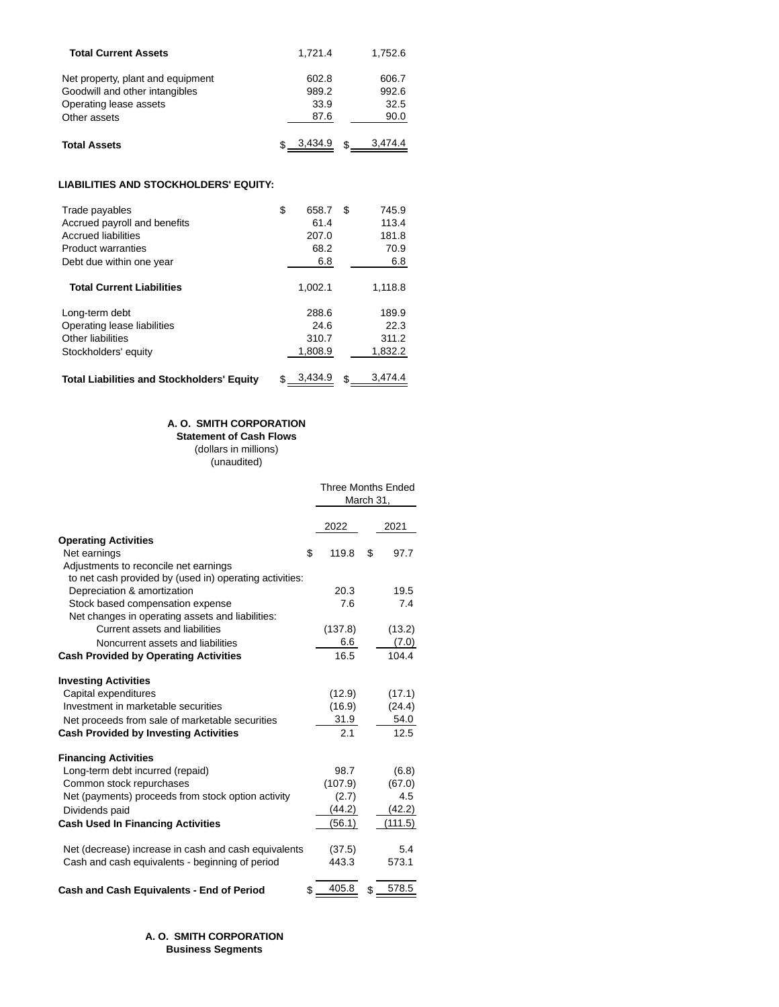| <b>Total Current Assets</b>       | 1.721.4 | 1.752.6 |
|-----------------------------------|---------|---------|
| Net property, plant and equipment | 602.8   | 606.7   |
| Goodwill and other intangibles    | 989.2   | 992.6   |
| Operating lease assets            | 33.9    | 32.5    |
| Other assets                      | 87.6    | 90.0    |
| <b>Total Assets</b>               | 3.434.9 | 3.474.4 |

## **LIABILITIES AND STOCKHOLDERS' EQUITY:**

| Trade payables<br>Accrued payroll and benefits<br><b>Accrued liabilities</b><br><b>Product warranties</b><br>Debt due within one year | \$<br>658.7<br>61.4<br>207.0<br>68.2<br>6.8 | S | 745.9<br>113.4<br>181.8<br>70.9<br>6.8 |
|---------------------------------------------------------------------------------------------------------------------------------------|---------------------------------------------|---|----------------------------------------|
| <b>Total Current Liabilities</b>                                                                                                      | 1.002.1                                     |   | 1.118.8                                |
| Long-term debt<br>Operating lease liabilities<br>Other liabilities<br>Stockholders' equity                                            | 288.6<br>24.6<br>310.7<br>1,808.9           |   | 189.9<br>22.3<br>311.2<br>1.832.2      |
| <b>Total Liabilities and Stockholders' Equity</b>                                                                                     | 3.434.9                                     |   | 3.474.4                                |

## **A. O. SMITH CORPORATION**

**Statement of Cash Flows**

(dollars in millions) (unaudited)

|                                                         | <b>Three Months Ended</b><br>March 31, |       |        |
|---------------------------------------------------------|----------------------------------------|-------|--------|
|                                                         | 2022                                   |       | 2021   |
| <b>Operating Activities</b>                             |                                        |       |        |
| Net earnings                                            | \$<br>119.8                            | \$    | 97.7   |
| Adjustments to reconcile net earnings                   |                                        |       |        |
| to net cash provided by (used in) operating activities: |                                        |       |        |
| Depreciation & amortization                             | 20.3                                   |       | 19.5   |
| Stock based compensation expense                        |                                        | 7.6   | 7.4    |
| Net changes in operating assets and liabilities:        |                                        |       |        |
| Current assets and liabilities                          | (137.8)                                |       | (13.2) |
| Noncurrent assets and liabilities                       |                                        | 6.6   | (7.0)  |
| <b>Cash Provided by Operating Activities</b>            |                                        | 16.5  | 104.4  |
| <b>Investing Activities</b>                             |                                        |       |        |
| Capital expenditures                                    | (12.9)                                 |       | (17.1) |
| Investment in marketable securities                     | (16.9)                                 |       | (24.4) |
| Net proceeds from sale of marketable securities         |                                        | 31.9  | 54.0   |
| <b>Cash Provided by Investing Activities</b>            |                                        | 2.1   | 12.5   |
| <b>Financing Activities</b>                             |                                        |       |        |
| Long-term debt incurred (repaid)                        | 98.7                                   |       | (6.8)  |
| Common stock repurchases                                | (107.9)                                |       | (67.0) |
| Net (payments) proceeds from stock option activity      |                                        | (2.7) | 4.5    |
| Dividends paid                                          | (44.2)                                 |       | (42.2) |
| <b>Cash Used In Financing Activities</b>                | (56.1)                                 |       | 111.5) |
| Net (decrease) increase in cash and cash equivalents    | (37.5)                                 |       | 5.4    |
| Cash and cash equivalents - beginning of period         | 443.3                                  |       | 573.1  |
| Cash and Cash Equivalents - End of Period               | 405.8<br>\$                            | \$    | 578.5  |

## **A. O. SMITH CORPORATION Business Segments**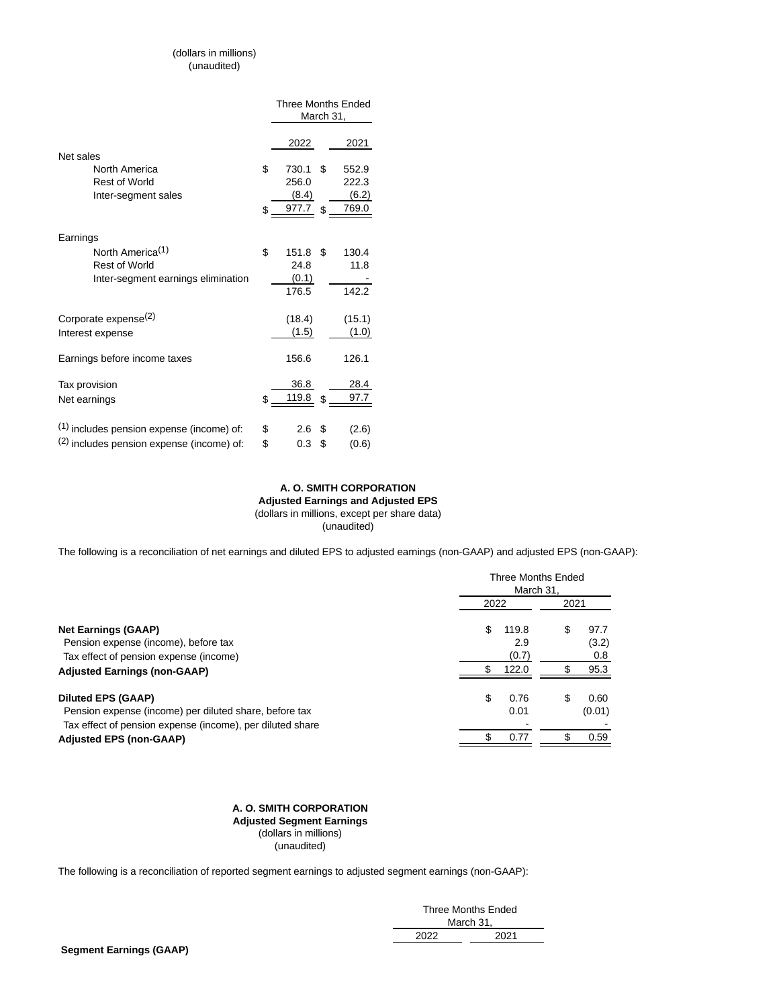## (dollars in millions) (unaudited)

|                                           | <b>Three Months Ended</b> |    |        |
|-------------------------------------------|---------------------------|----|--------|
|                                           | March 31,                 |    |        |
|                                           |                           |    |        |
|                                           | 2022                      |    | 2021   |
| Net sales                                 |                           |    |        |
| North America                             | \$<br>730.1               | \$ | 552.9  |
| <b>Rest of World</b>                      | 256.0                     |    | 222.3  |
| Inter-segment sales                       | (8.4)                     |    | (6.2)  |
|                                           | \$<br>977.7               | \$ | 769.0  |
|                                           |                           |    |        |
| Earnings                                  |                           |    |        |
| North America <sup>(1)</sup>              | \$<br>151.8               | \$ | 130.4  |
| <b>Rest of World</b>                      | 24.8                      |    | 11.8   |
| Inter-segment earnings elimination        | (0.1)                     |    |        |
|                                           | 176.5                     |    | 142.2  |
|                                           |                           |    |        |
| Corporate expense <sup>(2)</sup>          | (18.4)                    |    | (15.1) |
| Interest expense                          | (1.5)                     |    | (1.0)  |
|                                           |                           |    |        |
| Earnings before income taxes              | 156.6                     |    | 126.1  |
|                                           |                           |    |        |
| Tax provision                             | 36.8                      |    | 28.4   |
| Net earnings                              | \$<br>119.8               | \$ | 97.7   |
|                                           |                           |    |        |
| (1) includes pension expense (income) of: | \$<br>2.6                 | \$ |        |
|                                           |                           |    | (2.6)  |
| (2) includes pension expense (income) of: | \$<br>0.3                 | \$ | (0.6)  |

## **A. O. SMITH CORPORATION Adjusted Earnings and Adjusted EPS** (dollars in millions, except per share data)

(unaudited)

The following is a reconciliation of net earnings and diluted EPS to adjusted earnings (non-GAAP) and adjusted EPS (non-GAAP):

|                                                           | Three Months Ended<br>March 31. |       |      |        |
|-----------------------------------------------------------|---------------------------------|-------|------|--------|
|                                                           | 2022                            |       | 2021 |        |
| <b>Net Earnings (GAAP)</b>                                | \$                              | 119.8 | \$   | 97.7   |
| Pension expense (income), before tax                      |                                 | 2.9   |      | (3.2)  |
| Tax effect of pension expense (income)                    |                                 | (0.7) |      | 0.8    |
| <b>Adjusted Earnings (non-GAAP)</b>                       |                                 | 122.0 | S    | 95.3   |
| <b>Diluted EPS (GAAP)</b>                                 | \$                              | 0.76  | \$   | 0.60   |
| Pension expense (income) per diluted share, before tax    |                                 | 0.01  |      | (0.01) |
| Tax effect of pension expense (income), per diluted share |                                 |       |      |        |
| <b>Adjusted EPS (non-GAAP)</b>                            | \$                              | 0.77  | \$   | 0.59   |

#### **A. O. SMITH CORPORATION Adjusted Segment Earnings**  (dollars in millions) (unaudited)

The following is a reconciliation of reported segment earnings to adjusted segment earnings (non-GAAP):

| Three Months Ended |      |  |  |  |
|--------------------|------|--|--|--|
| March 31.          |      |  |  |  |
| 2022               | 2021 |  |  |  |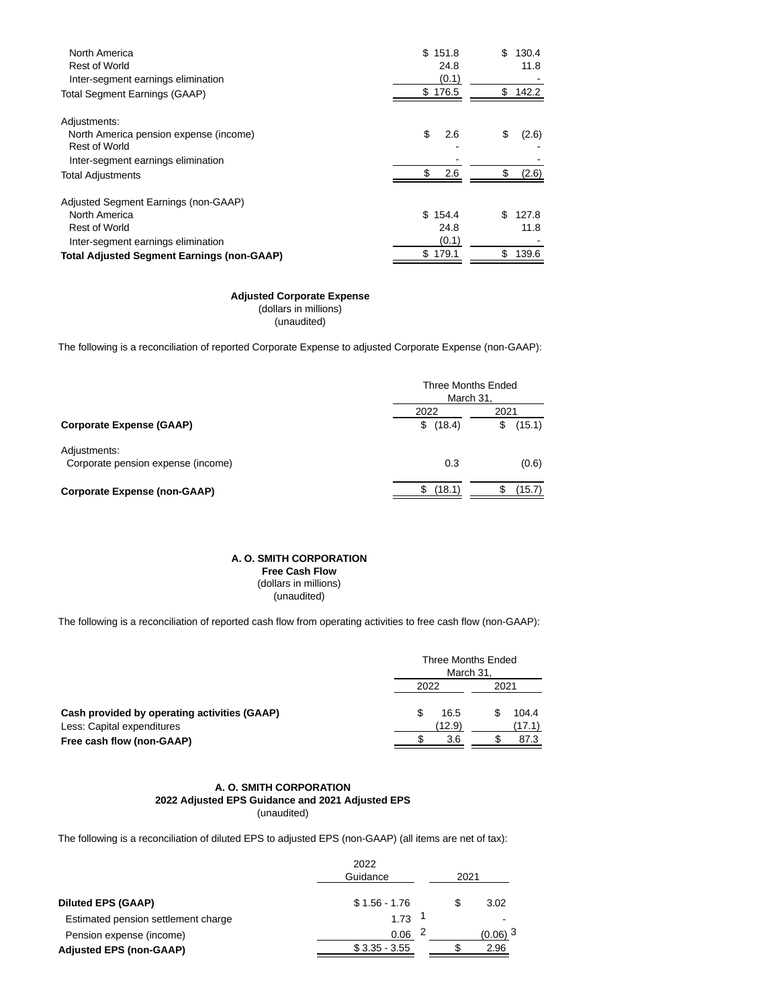| North America<br><b>Rest of World</b><br>Inter-segment earnings elimination                                          | \$       | 151.8<br>24.8<br>(0.1) | \$ | 130.4<br>11.8  |
|----------------------------------------------------------------------------------------------------------------------|----------|------------------------|----|----------------|
| <b>Total Segment Earnings (GAAP)</b>                                                                                 | \$176.5  |                        | \$ | 142.2          |
| Adjustments:<br>North America pension expense (income)<br><b>Rest of World</b><br>Inter-segment earnings elimination | \$<br>\$ | 2.6<br>2.6             | S  | (2.6)<br>(2.6) |
| <b>Total Adjustments</b>                                                                                             |          |                        |    |                |
| Adjusted Segment Earnings (non-GAAP)<br>North America<br><b>Rest of World</b><br>Inter-segment earnings elimination  | \$.      | 154.4<br>24.8<br>(0.1) | \$ | 127.8<br>11.8  |
| <b>Total Adjusted Segment Earnings (non-GAAP)</b>                                                                    | \$179.1  |                        | \$ | 139.6          |

## **Adjusted Corporate Expense**

 (dollars in millions) (unaudited)

The following is a reconciliation of reported Corporate Expense to adjusted Corporate Expense (non-GAAP):

|                                                    |          | Three Months Ended<br>March 31, |
|----------------------------------------------------|----------|---------------------------------|
| <b>Corporate Expense (GAAP)</b>                    | 2022     | 2021                            |
|                                                    | \$(18.4) | (15.1)<br>\$                    |
| Adjustments:<br>Corporate pension expense (income) | 0.3      | (0.6)                           |
| <b>Corporate Expense (non-GAAP)</b>                | (18.1)   | (15.7)                          |

#### **A. O. SMITH CORPORATION**

 **Free Cash Flow**  (dollars in millions) (unaudited)

The following is a reconciliation of reported cash flow from operating activities to free cash flow (non-GAAP):

|                                                                            | Three Months Ended<br>March 31, |  |                 |  |
|----------------------------------------------------------------------------|---------------------------------|--|-----------------|--|
|                                                                            | 2022                            |  | 2021            |  |
| Cash provided by operating activities (GAAP)<br>Less: Capital expenditures | 16.5<br>(12.9)                  |  | 104.4<br>(17.1) |  |
| Free cash flow (non-GAAP)                                                  | 3.6                             |  | 87.3            |  |

#### **A. O. SMITH CORPORATION 2022 Adjusted EPS Guidance and 2021 Adjusted EPS** (unaudited)

The following is a reconciliation of diluted EPS to adjusted EPS (non-GAAP) (all items are net of tax):

| 2022           |          |                       |
|----------------|----------|-----------------------|
|                |          |                       |
| $$1.56 - 1.76$ |          | 3.02                  |
| 1.73           |          |                       |
| 0.06           |          | $(0.06)$ <sup>3</sup> |
| $$3.35 - 3.55$ |          | 2.96                  |
|                | Guidance | 2021                  |